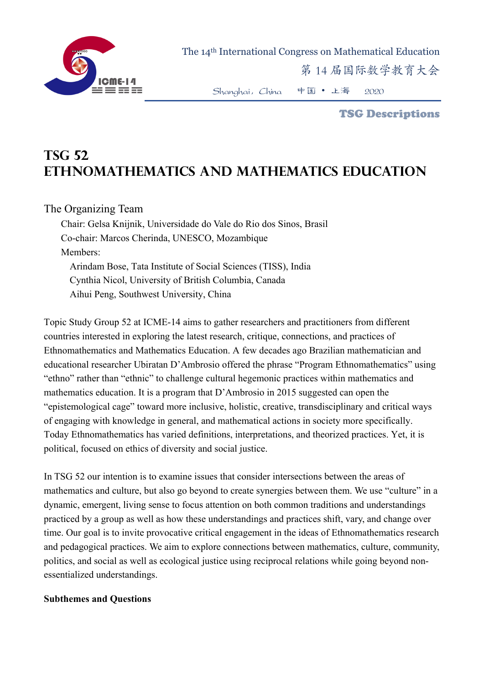

 The 14th International Congress on Mathematical Education 第 14 届国际数学教育大会

Shanghai,China 中国 • 上海 2020

TSG Descriptions

## **TSG 52 Ethnomathematics and Mathematics Education**

## The Organizing Team

Chair: Gelsa Knijnik, Universidade do Vale do Rio dos Sinos, Brasil Co-chair: Marcos Cherinda, UNESCO, Mozambique Members: Arindam Bose, Tata Institute of Social Sciences (TISS), India Cynthia Nicol, University of British Columbia, Canada Aihui Peng, Southwest University, China

Topic Study Group 52 at ICME-14 aims to gather researchers and practitioners from different countries interested in exploring the latest research, critique, connections, and practices of Ethnomathematics and Mathematics Education. A few decades ago Brazilian mathematician and educational researcher Ubiratan D'Ambrosio offered the phrase "Program Ethnomathematics" using "ethno" rather than "ethnic" to challenge cultural hegemonic practices within mathematics and mathematics education. It is a program that D'Ambrosio in 2015 suggested can open the "epistemological cage" toward more inclusive, holistic, creative, transdisciplinary and critical ways of engaging with knowledge in general, and mathematical actions in society more specifically. Today Ethnomathematics has varied definitions, interpretations, and theorized practices. Yet, it is political, focused on ethics of diversity and social justice.

In TSG 52 our intention is to examine issues that consider intersections between the areas of mathematics and culture, but also go beyond to create synergies between them. We use "culture" in a dynamic, emergent, living sense to focus attention on both common traditions and understandings practiced by a group as well as how these understandings and practices shift, vary, and change over time. Our goal is to invite provocative critical engagement in the ideas of Ethnomathematics research and pedagogical practices. We aim to explore connections between mathematics, culture, community, politics, and social as well as ecological justice using reciprocal relations while going beyond nonessentialized understandings.

## **Subthemes and Questions**